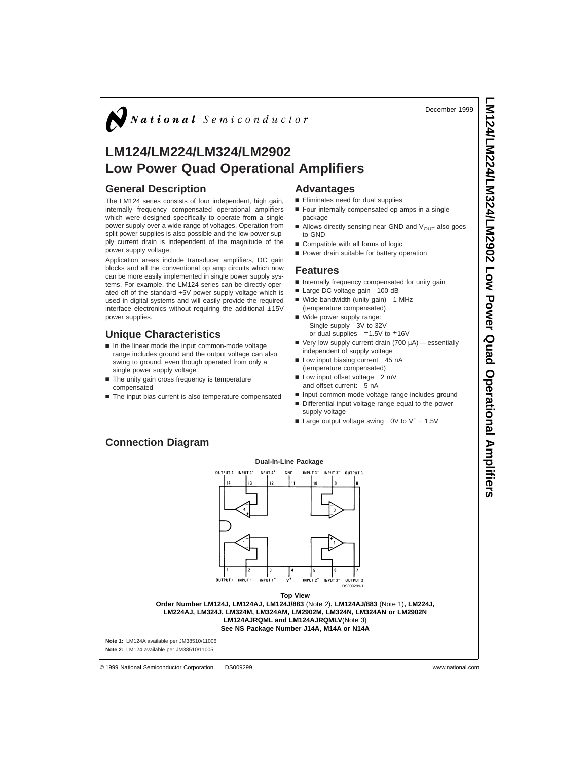December 1999

**LM124/LM224/LM324/LM2902**

 **Low Power Quad** 

**Operational**

 **Amplifiers**

# $\sum$  National Semiconductor

## **LM124/LM224/LM324/LM2902 Low Power Quad Operational Amplifiers**

### **General Description**

The LM124 series consists of four independent, high gain, internally frequency compensated operational amplifiers which were designed specifically to operate from a single power supply over a wide range of voltages. Operation from split power supplies is also possible and the low power supply current drain is independent of the magnitude of the power supply voltage.

Application areas include transducer amplifiers, DC gain blocks and all the conventional op amp circuits which now can be more easily implemented in single power supply systems. For example, the LM124 series can be directly operated off of the standard +5V power supply voltage which is used in digital systems and will easily provide the required interface electronics without requiring the additional ±15V power supplies.

### **Unique Characteristics**

- n In the linear mode the input common-mode voltage range includes ground and the output voltage can also swing to ground, even though operated from only a single power supply voltage
- $\blacksquare$  The unity gain cross frequency is temperature
- compensated
- $\blacksquare$  The input bias current is also temperature compensated

### **Advantages**

- Eliminates need for dual supplies
- $\blacksquare$  Four internally compensated op amps in a single package
- $\blacksquare$  Allows directly sensing near GND and  $V_{\text{OUT}}$  also goes to GND
- Compatible with all forms of logic
- **Power drain suitable for battery operation**

#### **Features**

- 
- n Internally frequency compensated for unity gain
- Large DC voltage gain 100 dB
- Wide bandwidth (unity gain) 1 MHz (temperature compensated)
- Wide power supply range: Single supply 3V to 32V or dual supplies  $\pm 1.5$ V to  $\pm 16$ V
- $\blacksquare$  Very low supply current drain (700  $\mu$ A) essentially independent of supply voltage
- Low input biasing current 45 nA (temperature compensated)
- Low input offset voltage 2 mV
- and offset current: 5 nA n Input common-mode voltage range includes ground
- Differential input voltage range equal to the power
	- supply voltage
- Large output voltage swing 0V to V<sup>+</sup> 1.5V

### **Connection Diagram**



© 1999 National Semiconductor Corporation DS009299 www.national.com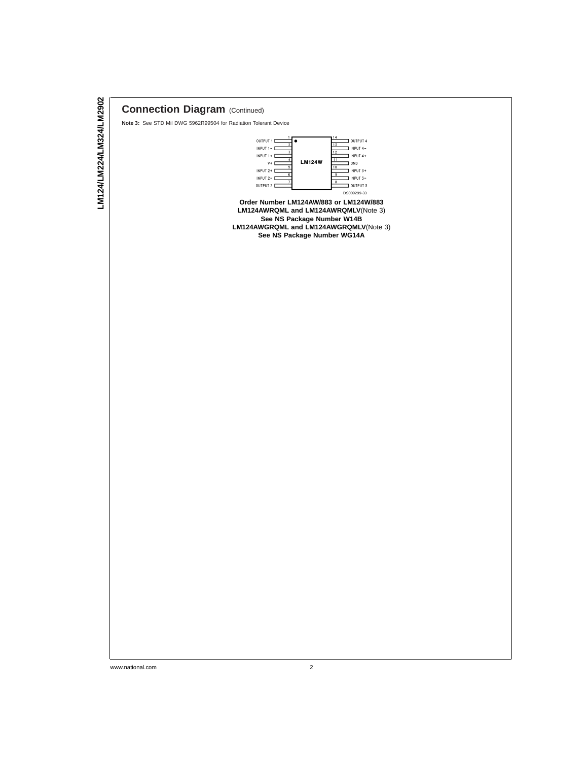## **Connection Diagram** (Continued)

**Note 3:** See STD Mil DWG 5962R99504 for Radiation Tolerant Device



**Order Number LM124AW/883 or LM124W/883 LM124AWRQML and LM124AWRQMLV**(Note 3) **See NS Package Number W14B LM124AWGRQML and LM124AWGRQMLV**(Note 3) **See NS Package Number WG14A**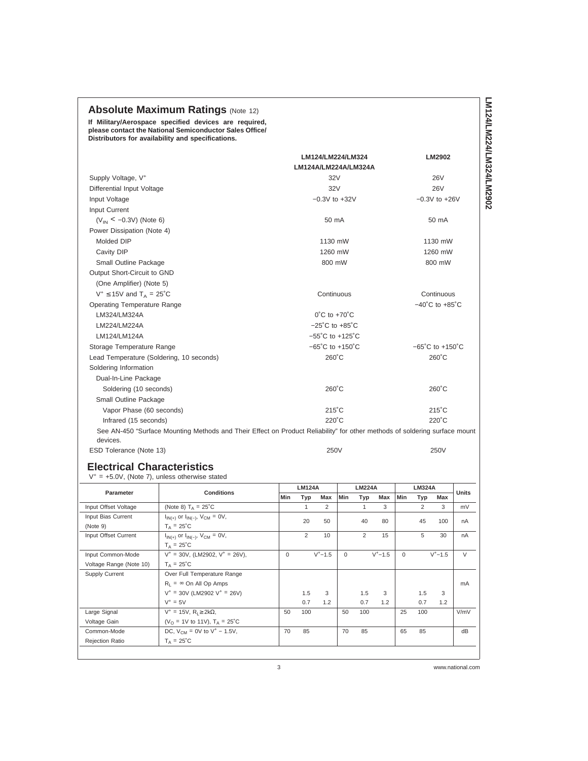## **Absolute Maximum Ratings (Note 12)**

**If Military/Aerospace specified devices are required, please contact the National Semiconductor Sales Office/ Distributors for availability and specifications.**

|                                                                                                                            | LM124/LM224/LM324                   | LM2902                              |
|----------------------------------------------------------------------------------------------------------------------------|-------------------------------------|-------------------------------------|
| Supply Voltage, V <sup>+</sup>                                                                                             | LM124A/LM224A/LM324A<br>32V         | <b>26V</b>                          |
| Differential Input Voltage                                                                                                 | 32V                                 | <b>26V</b>                          |
| Input Voltage                                                                                                              | $-0.3V$ to $+32V$                   | $-0.3V$ to $+26V$                   |
| Input Current                                                                                                              |                                     |                                     |
| $(V_{\text{IN}} < -0.3V)$ (Note 6)                                                                                         | 50 mA                               | 50 mA                               |
| Power Dissipation (Note 4)                                                                                                 |                                     |                                     |
| Molded DIP                                                                                                                 | 1130 mW                             | 1130 mW                             |
| Cavity DIP                                                                                                                 | 1260 mW                             | 1260 mW                             |
| Small Outline Package                                                                                                      | 800 mW                              | 800 mW                              |
| Output Short-Circuit to GND                                                                                                |                                     |                                     |
| (One Amplifier) (Note 5)                                                                                                   |                                     |                                     |
| $V^+ \le 15V$ and $T_A = 25°C$                                                                                             | Continuous                          | Continuous                          |
| <b>Operating Temperature Range</b>                                                                                         |                                     | $-40^{\circ}$ C to $+85^{\circ}$ C  |
| LM324/LM324A                                                                                                               | $0^{\circ}$ C to $+70^{\circ}$ C    |                                     |
| LM224/LM224A                                                                                                               | $-25^{\circ}$ C to $+85^{\circ}$ C  |                                     |
| LM124/LM124A                                                                                                               | $-55^{\circ}$ C to $+125^{\circ}$ C |                                     |
| Storage Temperature Range                                                                                                  | $-65^{\circ}$ C to $+150^{\circ}$ C | $-65^{\circ}$ C to $+150^{\circ}$ C |
| Lead Temperature (Soldering, 10 seconds)                                                                                   | $260^{\circ}$ C                     | $260^{\circ}$ C                     |
| Soldering Information                                                                                                      |                                     |                                     |
| Dual-In-Line Package                                                                                                       |                                     |                                     |
| Soldering (10 seconds)                                                                                                     | $260^{\circ}$ C                     | $260^{\circ}$ C                     |
| Small Outline Package                                                                                                      |                                     |                                     |
| Vapor Phase (60 seconds)                                                                                                   | $215^{\circ}$ C                     | $215^{\circ}$ C                     |
| Infrared (15 seconds)                                                                                                      | 220°C                               | 220°C                               |
| See AN-450 "Surface Mounting Methods and Their Effect on Product Reliability" for other methods of soldering surface mount |                                     |                                     |
| devices.                                                                                                                   |                                     |                                     |
| ESD Tolerance (Note 13)                                                                                                    | 250V                                | 250V                                |
| <b>Electrical Characteristics</b><br>$V^+$ = +5.0V, (Note 7), unless otherwise stated                                      |                                     |                                     |

|                         |                                                    |          | <b>LM124A</b> |             |          | <b>LM224A</b>  |             |          | <b>LM324A</b> |             |              |
|-------------------------|----------------------------------------------------|----------|---------------|-------------|----------|----------------|-------------|----------|---------------|-------------|--------------|
| Parameter               | <b>Conditions</b>                                  | Min      | Typ           | Max         | Min      | Typ            | Max         | Min      | Typ           | Max         | <b>Units</b> |
| Input Offset Voltage    | (Note 8) $T_A = 25^{\circ}$ C                      |          | $\mathbf{1}$  | 2           |          | $\mathbf{1}$   | 3           |          | 2             | 3           | mV           |
| Input Bias Current      | $I_{IN(+)}$ or $I_{IN(-)}$ , $V_{CM} = 0V$ ,       |          | 20            | 50          |          | 40             | 80          |          | 45            | 100         | nA           |
| (Note 9)                | $T_A = 25^{\circ}C$                                |          |               |             |          |                |             |          |               |             |              |
| Input Offset Current    | $I_{IN(+)}$ or $I_{IN(-)}$ , $V_{CM} = 0V$ ,       |          | 2             | 10          |          | $\overline{2}$ | 15          |          | 5             | 30          | nA           |
|                         | $T_A = 25^{\circ}C$                                |          |               |             |          |                |             |          |               |             |              |
| Input Common-Mode       | $V^+ = 30V$ , (LM2902, $V^+ = 26V$ ),              | $\Omega$ |               | $V^+ - 1.5$ | $\Omega$ |                | $V^+ - 1.5$ | $\Omega$ |               | $V^+ - 1.5$ | $\vee$       |
| Voltage Range (Note 10) | $T_A = 25^{\circ}C$                                |          |               |             |          |                |             |          |               |             |              |
| Supply Current          | Over Full Temperature Range                        |          |               |             |          |                |             |          |               |             |              |
|                         | $R_1 = \infty$ On All Op Amps                      |          |               |             |          |                |             |          |               |             | mA           |
|                         | $V^+$ = 30V (LM2902 V <sup>+</sup> = 26V)          |          | 1.5           | 3           |          | 1.5            | 3           |          | 1.5           | 3           |              |
|                         | $V^+ = 5V$                                         |          | 0.7           | 1.2         |          | 0.7            | 1.2         |          | 0.7           | 1.2         |              |
| Large Signal            | $V^+$ = 15V, R <sub>1</sub> $\geq$ 2k $\Omega$ ,   | 50       | 100           |             | 50       | 100            |             | 25       | 100           |             | V/mV         |
| Voltage Gain            | (V <sub>O</sub> = 1V to 11V), $T_A = 25^{\circ}$ C |          |               |             |          |                |             |          |               |             |              |
| Common-Mode             | DC, $V_{CM} = 0V$ to $V^+ - 1.5V$ ,                | 70       | 85            |             | 70       | 85             |             | 65       | 85            |             | dB           |
| Rejection Ratio         | $T_A = 25^{\circ}$ C                               |          |               |             |          |                |             |          |               |             |              |
|                         |                                                    |          |               |             |          |                |             |          |               |             |              |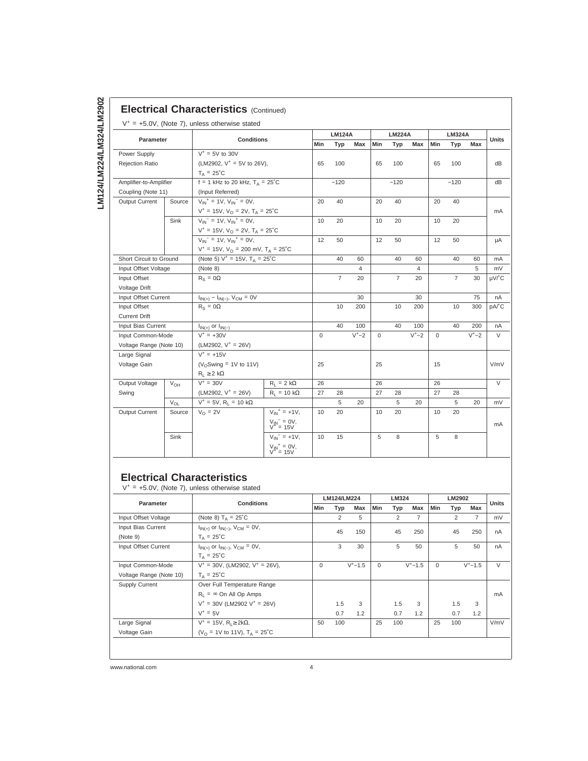## **Electrical Characteristics (Continued)**

|                                                                 |          | <b>Conditions</b>                                       |                                                |                 | <b>LM124A</b>  |          |             | <b>LM224A</b>  |          | <b>LM324A</b> |                |          | <b>Units</b> |
|-----------------------------------------------------------------|----------|---------------------------------------------------------|------------------------------------------------|-----------------|----------------|----------|-------------|----------------|----------|---------------|----------------|----------|--------------|
| <b>Parameter</b>                                                |          |                                                         |                                                | Min             | Typ            | Max      | Min         | Typ            | Max      | Min           | Typ            | Max      |              |
| Power Supply                                                    |          | $V^+ = 5V$ to 30V                                       |                                                |                 |                |          |             |                |          |               |                |          |              |
| <b>Rejection Ratio</b>                                          |          | (LM2902, $V^+$ = 5V to 26V),                            |                                                | 65              | 100            |          | 65          | 100            |          | 65            | 100            |          | dB           |
|                                                                 |          | $T_A = 25^{\circ}$ C                                    |                                                |                 |                |          |             |                |          |               |                |          |              |
| Amplifier-to-Amplifier                                          |          | f = 1 kHz to 20 kHz, $T_A = 25^{\circ}$ C               |                                                |                 | $-120$         |          |             | $-120$         |          |               | $-120$         |          | dB           |
| Coupling (Note 11)                                              |          | (Input Referred)                                        |                                                |                 |                |          |             |                |          |               |                |          |              |
| Output Current                                                  | Source   | $V_{IN}^+$ = 1V, $V_{IN}^-$ = 0V,                       |                                                | 20              | 40             |          | 20          | 40             |          | 20            | 40             |          |              |
|                                                                 |          | $V^+ = 15V$ , $V_O = 2V$ , $T_A = 25^{\circ}C$          |                                                |                 |                |          |             |                |          |               |                |          | mA           |
| Sink                                                            |          | $V_{IN}$ <sup>-</sup> = 1V, $V_{IN}$ <sup>+</sup> = 0V, |                                                | 10              | 20             |          | 10          | 20             |          | 10            | 20             |          |              |
|                                                                 |          |                                                         | $V^+ = 15V$ , $V_Q = 2V$ , $T_A = 25^{\circ}C$ |                 |                |          |             |                |          |               |                |          |              |
|                                                                 |          | $V_{IN}$ <sup>-</sup> = 1V, $V_{IN}$ <sup>+</sup> = 0V, |                                                | 12              | 50             |          | 12          | 50             |          | 12            | 50             |          | μA           |
| $V^+ = 15V$ , $V_{\Omega} = 200$ mV, $T_A = 25^{\circ}C$        |          |                                                         |                                                |                 |                |          |             |                |          |               |                |          |              |
| Short Circuit to Ground                                         |          | (Note 5) $V^+ = 15V$ , $T_A = 25^{\circ}C$              |                                                |                 | 40             | 60       |             | 40             | 60       |               | 40             | 60       | mA           |
| Input Offset Voltage                                            |          | (Note 8)                                                |                                                |                 |                | 4        |             |                | 4        |               |                | 5        | mV           |
| Input Offset                                                    |          | $R_S = 0\Omega$                                         |                                                |                 | $\overline{7}$ | 20       |             | $\overline{7}$ | 20       |               | $\overline{7}$ | 30       | µV/°C        |
| Voltage Drift                                                   |          |                                                         |                                                |                 |                |          |             |                |          |               |                |          |              |
| $I_{IN(+)} - I_{IN(-)}$ , $V_{CM} = 0V$<br>Input Offset Current |          |                                                         |                                                | 30              |                |          | 30          |                |          | 75            | nA             |          |              |
| $R_S = 0\Omega$<br>Input Offset                                 |          |                                                         | 10                                             | 200             |                | 10       | 200         |                | 10       | 300           | pA/°C          |          |              |
| <b>Current Drift</b>                                            |          |                                                         |                                                |                 |                |          |             |                |          |               |                |          |              |
| Input Bias Current                                              |          | $I_{IN(+)}$ or $I_{IN(-)}$                              |                                                |                 | 40             | 100      |             | 40             | 100      |               | 40             | 200      | nA           |
| Input Common-Mode                                               |          | $V^+ = +30V$                                            |                                                | $\mathbf 0$     |                | $V^+$ -2 | $\mathbf 0$ |                | $V^+$ -2 | $\Omega$      |                | $V^+$ -2 | V            |
| Voltage Range (Note 10)                                         |          | (LM2902, $V^+$ = 26V)                                   |                                                |                 |                |          |             |                |          |               |                |          |              |
| Large Signal                                                    |          | $V^+ = +15V$                                            |                                                |                 |                |          |             |                |          |               |                |          |              |
| Voltage Gain                                                    |          | ( $V_{\Omega}$ Swing = 1V to 11V)                       |                                                | 25              |                |          | 25          |                |          | 15            |                |          | V/mV         |
|                                                                 |          | $R_1 \geq 2$ kΩ                                         |                                                |                 |                |          |             |                |          |               |                |          |              |
| Output Voltage                                                  | $V_{OH}$ | $V^+$ = 30V                                             | $R_1 = 2 k\Omega$                              | 26              |                |          | 26          |                |          | 26            |                |          | $\vee$       |
| Swing                                                           |          | $(LM2902, V^+ = 26V)$                                   | $R_1 = 10 k\Omega$                             | 27              | 28             |          | 27          | 28             |          | 27            | 28             |          |              |
|                                                                 | $V_{OL}$ | $V^+ = 5V$ , R <sub>1</sub> = 10 kΩ                     |                                                |                 | 5              | 20       |             | 5              | 20       |               | 5              | 20       | mV           |
| Output Current                                                  | Source   | $V_O = 2V$                                              | $V_{IN}^+$ = +1V,                              | 10              | 20             |          | 10          | 20             |          | 10            | 20             |          |              |
|                                                                 |          |                                                         | $V_{IN}^-$ = 0V,<br>V <sup>+</sup> = 15V       |                 |                |          |             |                |          |               |                |          | mA           |
|                                                                 | Sink     |                                                         | $V_{IN}^- = +1V,$                              | 10 <sup>1</sup> | 15             |          | 5           | 8              |          | 5             | 8              |          |              |
|                                                                 |          |                                                         | $V_{IN}^+ = 0V,$<br>$V^+ = 15V$                |                 |                |          |             |                |          |               |                |          |              |

### **Electrical Characteristics**

 $V^+ = +5.0V$ , (Note 7), unless otherwise stated

| Parameter               | <b>Conditions</b>                                |                          | LM124/LM224 |             |          | LM324 |                |                   | LM2902         |                | <b>Units</b> |
|-------------------------|--------------------------------------------------|--------------------------|-------------|-------------|----------|-------|----------------|-------------------|----------------|----------------|--------------|
|                         |                                                  | <b>Min</b><br>Typ<br>Max |             |             | Min      | Typ   | Max            | Min<br>Max<br>Typ |                |                |              |
| Input Offset Voltage    | (Note 8) $T_A = 25^{\circ}C$                     |                          | 2           | 5           |          | 2     | $\overline{7}$ |                   | $\overline{2}$ | $\overline{7}$ | mV           |
| Input Bias Current      | $I_{IN(+)}$ or $I_{IN(-)}$ , $V_{CM} = 0V$ ,     |                          | 45          | 150         |          | 45    | 250            |                   | 45             | 250            | nA           |
| (Note 9)                | $T_A = 25^{\circ}C$                              |                          |             |             |          |       |                |                   |                |                |              |
| Input Offset Current    | $I_{IN(+)}$ or $I_{IN(-)}$ , $V_{CM} = 0V$ ,     |                          | 3           | 30          |          | 5     | 50             |                   | 5              | 50             | nA           |
|                         | $T_A = 25^{\circ}C$                              |                          |             |             |          |       |                |                   |                |                |              |
| Input Common-Mode       | $V^+$ = 30V, (LM2902, $V^+$ = 26V),              | $\mathbf 0$              |             | $V^+ - 1.5$ | $\Omega$ |       | $V^+ - 1.5$    | $\Omega$          |                | $V^+ - 1.5$    | $\vee$       |
| Voltage Range (Note 10) | $T_A = 25^{\circ}C$                              |                          |             |             |          |       |                |                   |                |                |              |
| Supply Current          | Over Full Temperature Range                      |                          |             |             |          |       |                |                   |                |                |              |
|                         | $R_1 = \infty$ On All Op Amps                    |                          |             |             |          |       |                |                   |                |                | mA           |
|                         | $V^+$ = 30V (LM2902 $V^+$ = 26V)                 |                          | 1.5         | 3           |          | 1.5   | 3              |                   | 1.5            | 3              |              |
|                         | $V^+ = 5V$                                       |                          | 0.7         | 1.2         |          | 0.7   | 1.2            |                   | 0.7            | 1.2            |              |
| Large Signal            | $V^+$ = 15V, R <sub>1</sub> $\geq$ 2k $\Omega$ , | 50                       | 100         |             | 25       | 100   |                | 25                | 100            |                | V/mV         |
| Voltage Gain            | ( $V_{\Omega}$ = 1V to 11V), $T_{A}$ = 25°C      |                          |             |             |          |       |                |                   |                |                |              |
|                         |                                                  |                          |             |             |          |       |                |                   |                |                |              |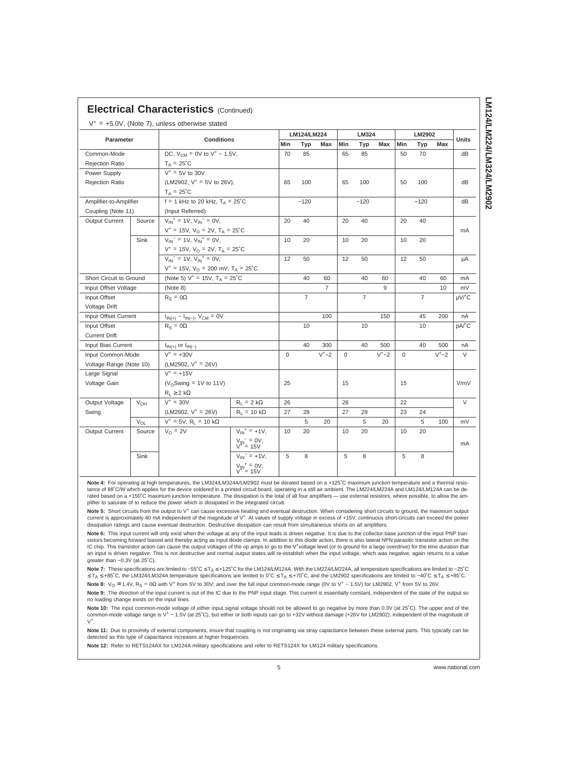| Parameter               |              |                                                                                                                                                             |                                          |     | LM124/LM224    |                |     | LM324          |            |     | LM2902         |        |              |
|-------------------------|--------------|-------------------------------------------------------------------------------------------------------------------------------------------------------------|------------------------------------------|-----|----------------|----------------|-----|----------------|------------|-----|----------------|--------|--------------|
|                         |              | <b>Conditions</b>                                                                                                                                           |                                          | Min | Typ            | Max            | Min | Typ            | <b>Max</b> | Min | Typ            | Max    | <b>Units</b> |
| Common-Mode             |              | DC, $V_{CM} = 0V$ to $V^+ - 1.5V$ ,                                                                                                                         |                                          | 70  | 85             |                | 65  | 85             |            | 50  | 70             |        | dB           |
| Rejection Ratio         |              | $T_A = 25^{\circ}C$                                                                                                                                         |                                          |     |                |                |     |                |            |     |                |        |              |
| Power Supply            |              | $V^* = 5V$ to 30V                                                                                                                                           |                                          |     |                |                |     |                |            |     |                |        |              |
| <b>Rejection Ratio</b>  |              | (LM2902, $V^+$ = 5V to 26V),                                                                                                                                |                                          | 65  | 100            |                | 65  | 100            |            | 50  | 100            |        | dB           |
|                         |              | $T_A = 25^{\circ}C$                                                                                                                                         |                                          |     |                |                |     |                |            |     |                |        |              |
| Amplifier-to-Amplifier  |              | $f = 1$ kHz to 20 kHz, $T_A = 25^{\circ}$ C                                                                                                                 |                                          |     | $-120$         |                |     | $-120$         |            |     | $-120$         |        | dB           |
| Coupling (Note 11)      |              | (Input Referred)                                                                                                                                            |                                          |     |                |                |     |                |            |     |                |        |              |
| Output Current          | Source       | $V_{IN}^+$ = 1V, $V_{IN}^-$ = 0V,                                                                                                                           |                                          | 20  | 40             |                | 20  | 40             |            | 20  | 40             |        |              |
|                         |              | $V^+ = 15V$ , $V_O = 2V$ , $T_A = 25^{\circ}C$<br>$V_{IN}$ <sup>-</sup> = 1V, $V_{IN}$ <sup>+</sup> = 0V,<br>$V^+ = 15V$ , $V_Q = 2V$ , $T_A = 25^{\circ}C$ |                                          |     |                |                |     |                |            |     |                |        | mA           |
|                         | Sink         |                                                                                                                                                             |                                          | 10  | 20             |                | 10  | 20             |            | 10  | 20             |        |              |
|                         |              |                                                                                                                                                             |                                          |     |                |                |     |                |            |     |                |        |              |
|                         |              | $V_{IN}$ <sup>-</sup> = 1V, $V_{IN}$ <sup>+</sup> = 0V,                                                                                                     |                                          | 12  | 50             |                | 12  | 50             |            | 12  | 50             |        | μA           |
|                         |              | $V^+ = 15V$ , $V_Q = 200$ mV, $T_A = 25^{\circ}C$                                                                                                           |                                          |     |                |                |     |                |            |     |                |        |              |
| Short Circuit to Ground |              | (Note 5) $V^+ = 15V$ , $T_A = 25^{\circ}C$                                                                                                                  |                                          |     | 40             | 60             |     | 40             | 60         |     | 40             | 60     | mA           |
| Input Offset Voltage    |              | (Note 8)                                                                                                                                                    |                                          |     |                | $\overline{7}$ |     |                | 9          |     |                | 10     | mV           |
| Input Offset            |              | $R_S = 0\Omega$                                                                                                                                             |                                          |     | $\overline{7}$ |                |     | $\overline{7}$ |            |     | $\overline{7}$ |        | µV/°C        |
| Voltage Drift           |              |                                                                                                                                                             |                                          |     |                |                |     |                |            |     |                |        |              |
| Input Offset Current    |              | $I_{IN(+)} - I_{IN(-)}$ , $V_{CM} = 0V$                                                                                                                     |                                          |     |                | 100            |     |                | 150        |     | 45             | 200    | nA           |
| Input Offset            |              | $R_{\rm s} = 0\Omega$                                                                                                                                       |                                          |     | 10             |                |     | 10             |            |     | 10             |        | pA/°C        |
| <b>Current Drift</b>    |              |                                                                                                                                                             |                                          |     |                |                |     |                |            |     |                |        |              |
| Input Bias Current      |              | $I_{IN(+)}$ or $I_{IN(-)}$                                                                                                                                  |                                          |     | 40             | 300            |     | 40             | 500        |     | 40             | 500    | nA           |
| Input Common-Mode       | $V^+ = +30V$ |                                                                                                                                                             | 0                                        |     | $V^+ - 2$      | $\mathbf 0$    |     | $V^+ - 2$      | 0          |     | $V^+ - 2$      | $\vee$ |              |
| Voltage Range (Note 10) |              | (LM2902, $V^+ = 26V$ )                                                                                                                                      |                                          |     |                |                |     |                |            |     |                |        |              |
| Large Signal            |              | $V^+ = +15V$                                                                                                                                                |                                          |     |                |                |     |                |            |     |                |        |              |
| Voltage Gain            |              | ( $V_{\Omega}$ Swing = 1V to 11V)                                                                                                                           |                                          | 25  |                |                | 15  |                |            | 15  |                |        | V/mV         |
|                         |              | $R_1 \geq 2 k\Omega$                                                                                                                                        |                                          |     |                |                |     |                |            |     |                |        |              |
| Output Voltage          | $V_{OH}$     | $V^+ = 30V$                                                                                                                                                 | $R_1 = 2 k\Omega$                        | 26  |                |                | 26  |                |            | 22  |                |        | $\vee$       |
| Swing                   |              | $(LM2902, V^+ = 26V)$                                                                                                                                       | $R_1 = 10 k\Omega$                       | 27  | 28             |                | 27  | 28             |            | 23  | 24             |        |              |
|                         | $V_{OL}$     | $V^+ = 5V$ , R <sub>L</sub> = 10 kΩ                                                                                                                         |                                          |     | 5              | 20             |     | 5              | 20         |     | 5              | 100    | mV           |
| Output Current          | Source       | $V_{\Omega} = 2V$                                                                                                                                           | $V_{IN}^+ = +1V,$                        | 10  | 20             |                | 10  | 20             |            | 10  | 20             |        |              |
|                         |              |                                                                                                                                                             | $V_{IN}^-$ = 0V,<br>V <sup>+</sup> = 15V |     |                |                |     |                |            |     |                |        | mA           |
|                         | Sink         |                                                                                                                                                             | $V_{1N}^{-}$ = +1V,                      | 5   | 8              |                | 5   | 8              |            | 5   | 8              |        |              |
|                         |              |                                                                                                                                                             |                                          |     |                |                |     |                |            |     |                |        |              |
|                         |              |                                                                                                                                                             | $V_{\parallel}V^+ = 0V,$<br>$V^+ = 15V$  |     |                |                |     |                |            |     |                |        |              |

 $\mathbf{r}$ 

<code>Note 7: These</code> specifications are limited to –55˚C ≤ T<sub>A</sub> ≤ +125˚C for the LM124/LM124A. With the LM224/LM224A, all temperature specifications are limited to –25˚C<br>≤ T<sub>A</sub> ≤ +85˚C, the LM324/LM324A temperature specificati Note 8: V<sub>O</sub> ≅ 1.4V, R<sub>S</sub> = 0Ω with V<sup>+</sup> from 5V to 30V; and over the full input common-mode range (0V to V<sup>+</sup> − 1.5V) for LM2902, V<sup>+</sup> from 5V to 26V.

Note 9: The direction of the input current is out of the IC due to the PNP input stage. This current is essentially constant, independent of the state of the output so no loading change exists on the input lines.

**Note 10:** The input common-mode voltage of either input signal voltage should not be allowed to go negative by more than 0.3V (at 25°C). The upper end of the<br>common-mode voltage range is V\* – 1.5V (at 25°C), but either or  $V^+$ .

**Note 11:** Due to proximity of external components, insure that coupling is not originating via stray capacitance between these external parts. This typically can be<br>detected as this type of capacitance increases at higher

**Note 12:** Refer to RETS124AX for LM124A military specifications and refer to RETS124X for LM124 military specifications.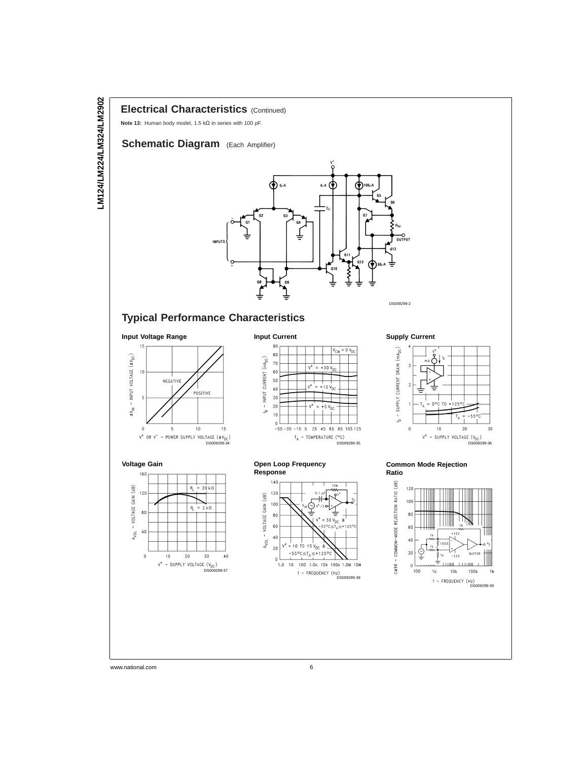### **Electrical Characteristics** (Continued)

**Note 13:** Human body model, 1.5 kΩ in series with 100 pF.

## **Schematic Diagram** (Each Amplifier)



## **Typical Performance Characteristics**

**Input Voltage Range**









#### **Open Loop Frequency Response**



#### **Supply Current**



#### **Common Mode Rejection Ratio**

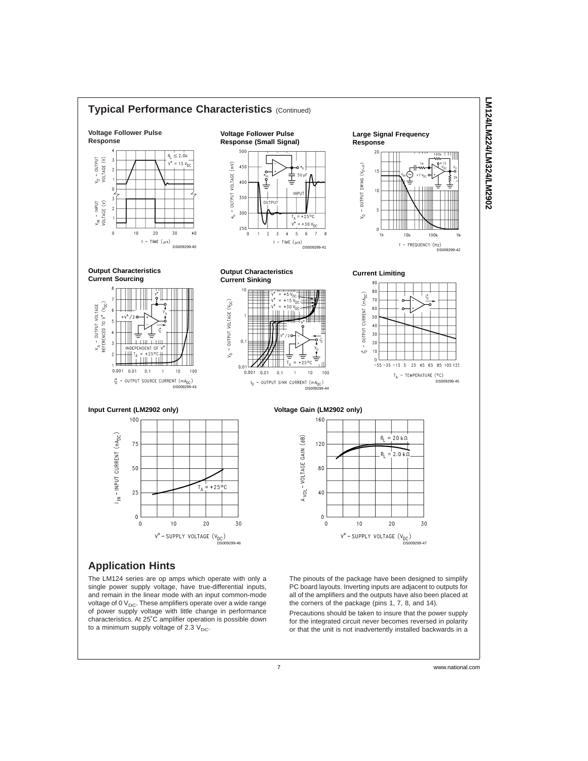

The LM124 series are op amps which operate with only a single power supply voltage, have true-differential inputs, and remain in the linear mode with an input common-mode voltage of 0  $V_{DC}$ . These amplifiers operate over a wide range of power supply voltage with little change in performance characteristics. At 25˚C amplifier operation is possible down to a minimum supply voltage of  $2.3 V<sub>DC</sub>$ .

The pinouts of the package have been designed to simplify PC board layouts. Inverting inputs are adjacent to outputs for all of the amplifiers and the outputs have also been placed at the corners of the package (pins 1, 7, 8, and 14).

Precautions should be taken to insure that the power supply for the integrated circuit never becomes reversed in polarity or that the unit is not inadvertently installed backwards in a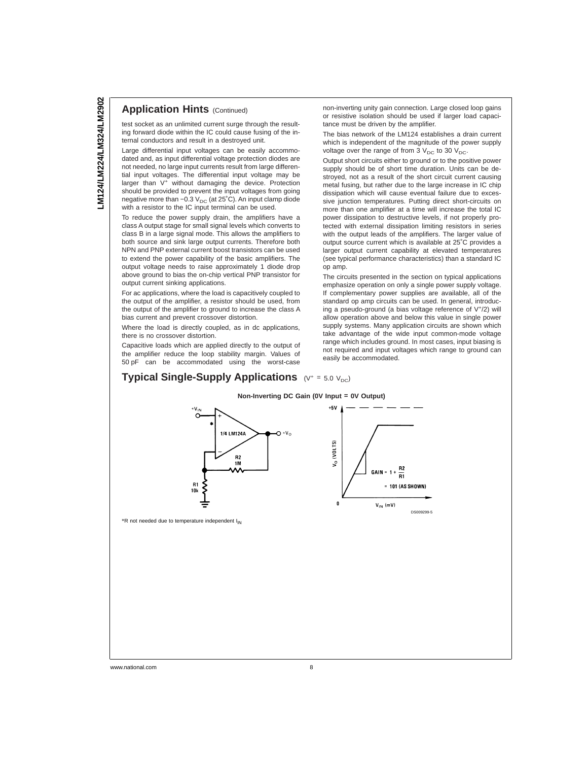#### **Application Hints (Continued)**

test socket as an unlimited current surge through the resulting forward diode within the IC could cause fusing of the internal conductors and result in a destroyed unit.

Large differential input voltages can be easily accommodated and, as input differential voltage protection diodes are not needed, no large input currents result from large differential input voltages. The differential input voltage may be larger than V<sup>+</sup> without damaging the device. Protection should be provided to prevent the input voltages from going negative more than −0.3 V<sub>DC</sub> (at 25°C). An input clamp diode with a resistor to the IC input terminal can be used.

To reduce the power supply drain, the amplifiers have a class A output stage for small signal levels which converts to class B in a large signal mode. This allows the amplifiers to both source and sink large output currents. Therefore both NPN and PNP external current boost transistors can be used to extend the power capability of the basic amplifiers. The output voltage needs to raise approximately 1 diode drop above ground to bias the on-chip vertical PNP transistor for output current sinking applications.

For ac applications, where the load is capacitively coupled to the output of the amplifier, a resistor should be used, from the output of the amplifier to ground to increase the class A bias current and prevent crossover distortion.

Where the load is directly coupled, as in dc applications, there is no crossover distortion.

Capacitive loads which are applied directly to the output of the amplifier reduce the loop stability margin. Values of 50 pF can be accommodated using the worst-case

#### **Typical Single-Supply Applications**  $(V^* = 5.0 V_{DC})$

non-inverting unity gain connection. Large closed loop gains or resistive isolation should be used if larger load capacitance must be driven by the amplifier.

The bias network of the LM124 establishes a drain current which is independent of the magnitude of the power supply voltage over the range of from  $3 \text{ V}_{\text{DC}}$  to 30  $\text{V}_{\text{DC}}$ .

Output short circuits either to ground or to the positive power supply should be of short time duration. Units can be destroyed, not as a result of the short circuit current causing metal fusing, but rather due to the large increase in IC chip dissipation which will cause eventual failure due to excessive junction temperatures. Putting direct short-circuits on more than one amplifier at a time will increase the total IC power dissipation to destructive levels, if not properly protected with external dissipation limiting resistors in series with the output leads of the amplifiers. The larger value of output source current which is available at 25˚C provides a larger output current capability at elevated temperatures (see typical performance characteristics) than a standard IC op amp.

The circuits presented in the section on typical applications emphasize operation on only a single power supply voltage. If complementary power supplies are available, all of the standard op amp circuits can be used. In general, introducing a pseudo-ground (a bias voltage reference of V<sup>+</sup> /2) will allow operation above and below this value in single power supply systems. Many application circuits are shown which take advantage of the wide input common-mode voltage range which includes ground. In most cases, input biasing is not required and input voltages which range to ground can easily be accommodated.



\*R not needed due to temperature independent  $I_{IN}$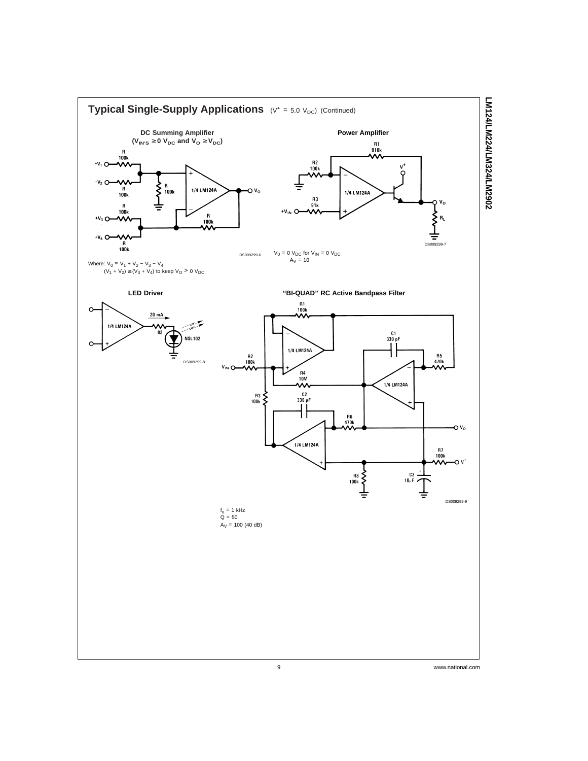

LM124/LM224/LM324/LM2902 **LM124/LM224/LM324/LM2902**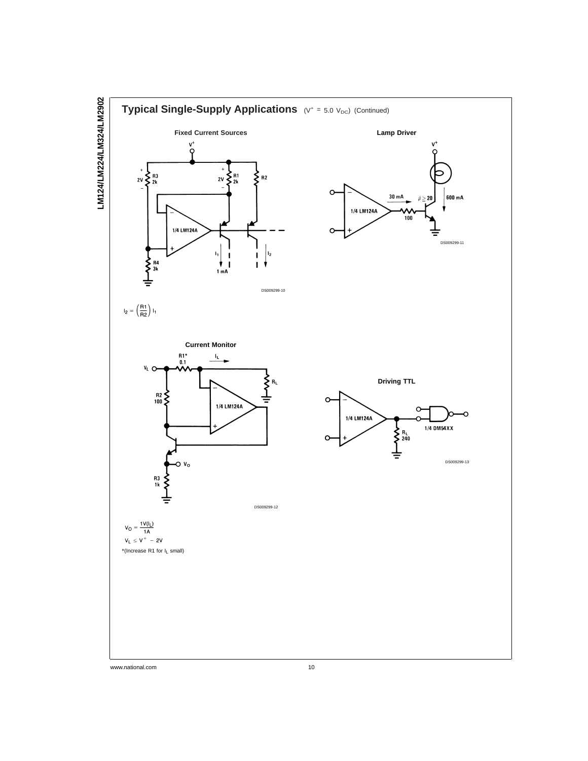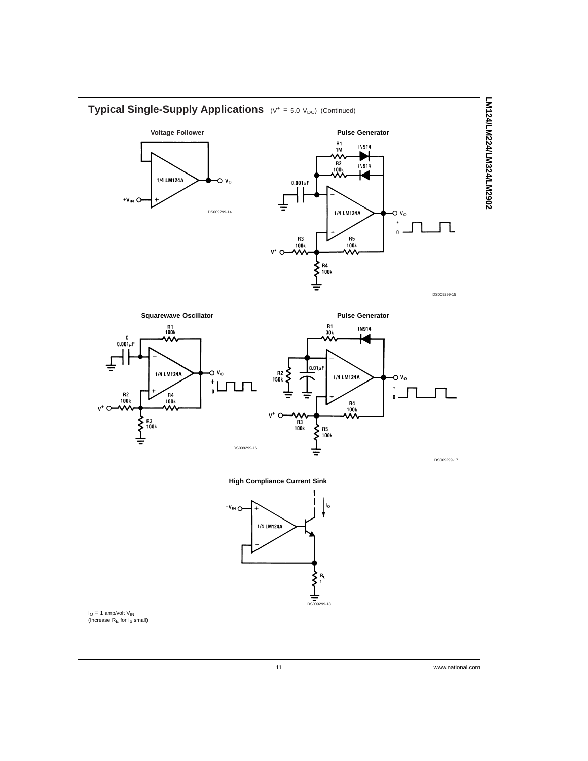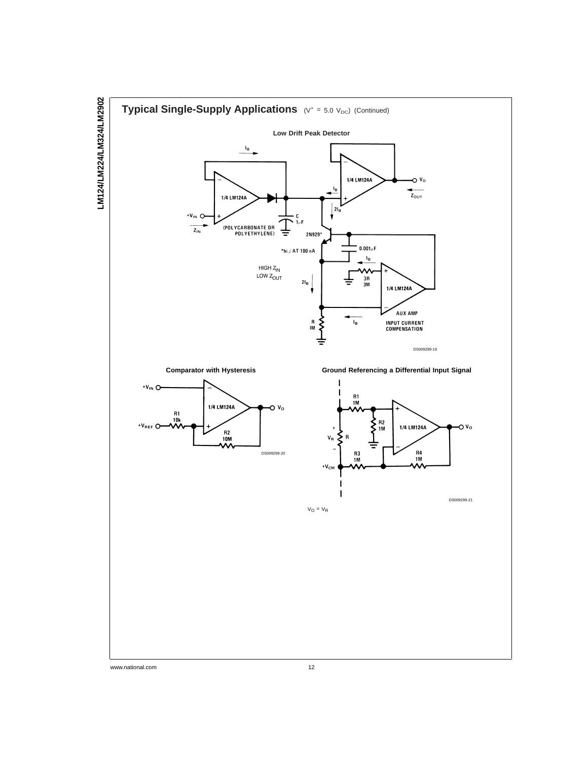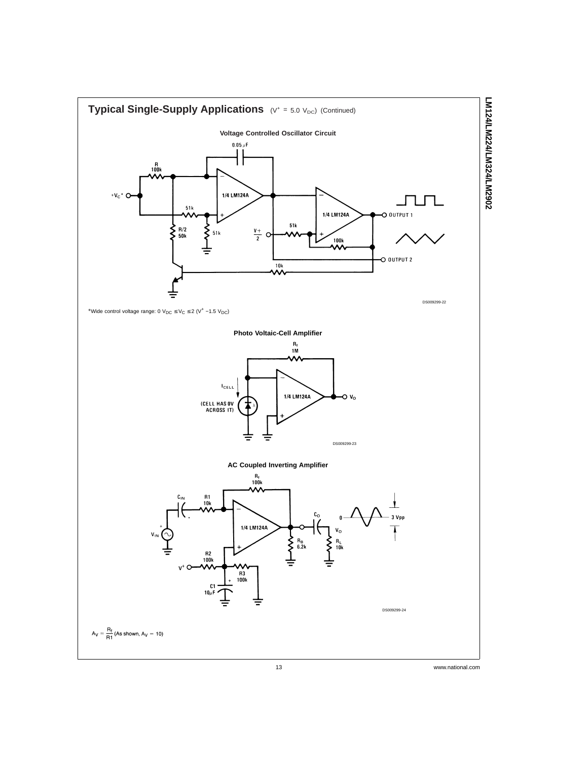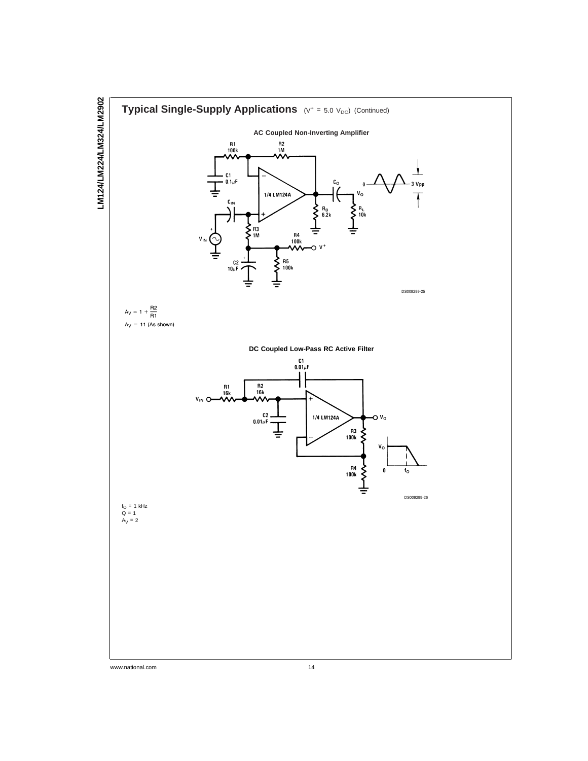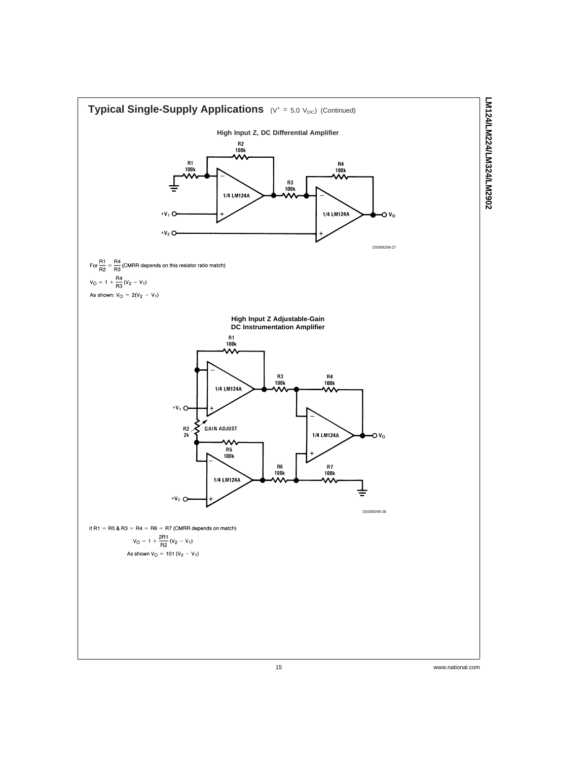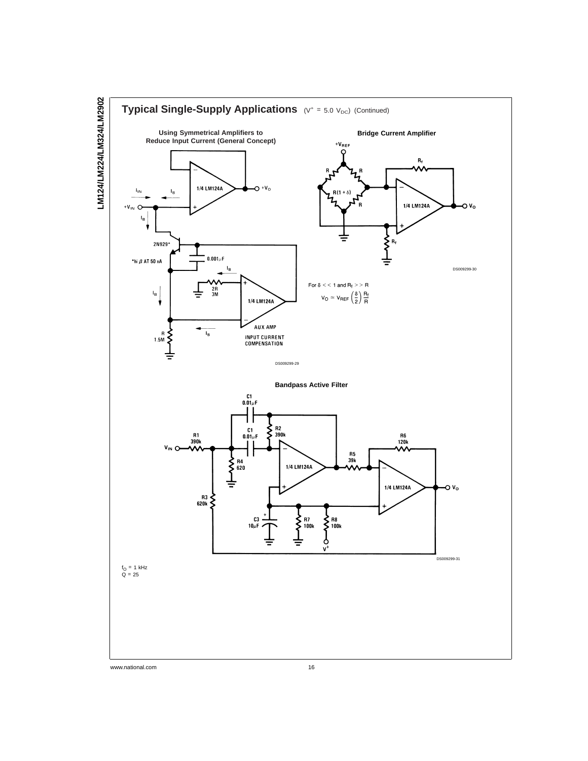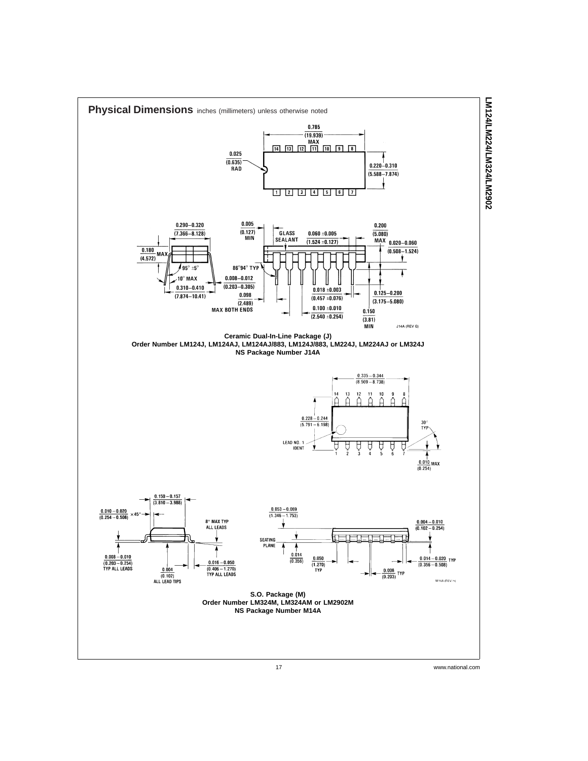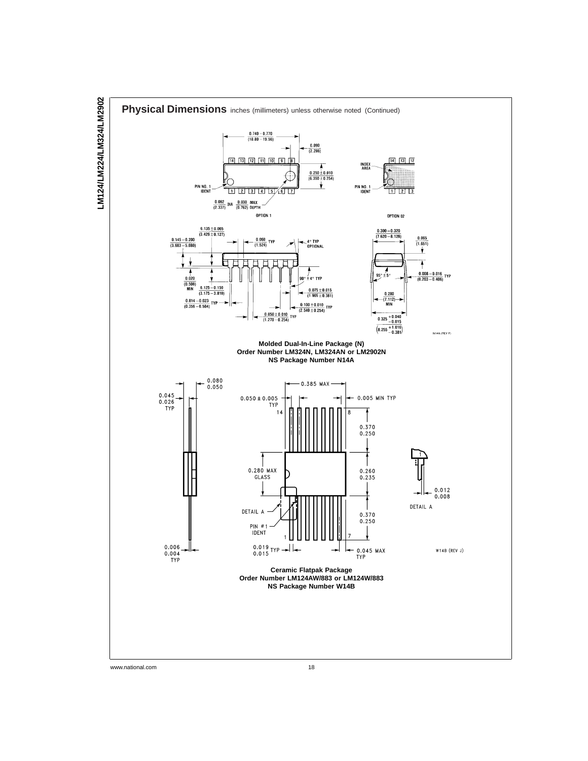